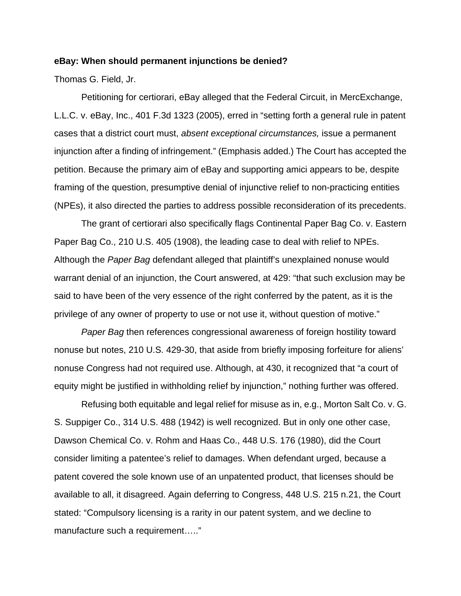## **eBay: When should permanent injunctions be denied?**

Thomas G. Field, Jr.

 Petitioning for certiorari, eBay alleged that the Federal Circuit, in MercExchange, L.L.C. v. eBay, Inc., 401 F.3d 1323 (2005), erred in "setting forth a general rule in patent cases that a district court must, *absent exceptional circumstances,* issue a permanent injunction after a finding of infringement." (Emphasis added.) The Court has accepted the petition. Because the primary aim of eBay and supporting amici appears to be, despite framing of the question, presumptive denial of injunctive relief to non-practicing entities (NPEs), it also directed the parties to address possible reconsideration of its precedents.

 The grant of certiorari also specifically flags Continental Paper Bag Co. v. Eastern Paper Bag Co., 210 U.S. 405 (1908), the leading case to deal with relief to NPEs. Although the *Paper Bag* defendant alleged that plaintiff's unexplained nonuse would warrant denial of an injunction, the Court answered, at 429: "that such exclusion may be said to have been of the very essence of the right conferred by the patent, as it is the privilege of any owner of property to use or not use it, without question of motive."

*Paper Bag* then references congressional awareness of foreign hostility toward nonuse but notes, 210 U.S. 429-30, that aside from briefly imposing forfeiture for aliens' nonuse Congress had not required use. Although, at 430, it recognized that "a court of equity might be justified in withholding relief by injunction," nothing further was offered.

 Refusing both equitable and legal relief for misuse as in, e.g., Morton Salt Co. v. G. S. Suppiger Co., 314 U.S. 488 (1942) is well recognized. But in only one other case, Dawson Chemical Co. v. Rohm and Haas Co., 448 U.S. 176 (1980), did the Court consider limiting a patentee's relief to damages. When defendant urged, because a patent covered the sole known use of an unpatented product, that licenses should be available to all, it disagreed. Again deferring to Congress, 448 U.S. 215 n.21, the Court stated: "Compulsory licensing is a rarity in our patent system, and we decline to manufacture such a requirement….."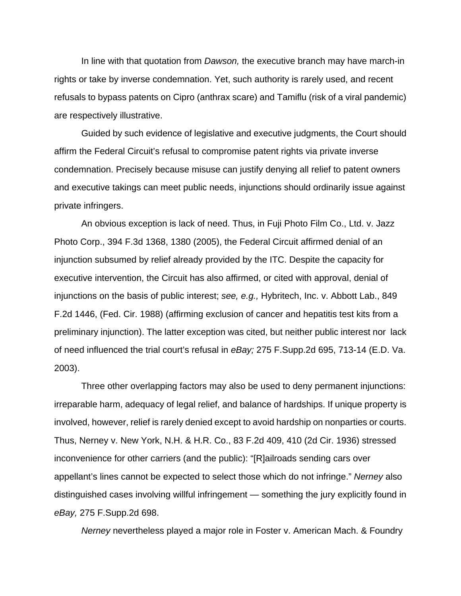In line with that quotation from *Dawson,* the executive branch may have march-in rights or take by inverse condemnation. Yet, such authority is rarely used, and recent refusals to bypass patents on Cipro (anthrax scare) and Tamiflu (risk of a viral pandemic) are respectively illustrative.

 Guided by such evidence of legislative and executive judgments, the Court should affirm the Federal Circuit's refusal to compromise patent rights via private inverse condemnation. Precisely because misuse can justify denying all relief to patent owners and executive takings can meet public needs, injunctions should ordinarily issue against private infringers.

 An obvious exception is lack of need. Thus, in Fuji Photo Film Co., Ltd. v. Jazz Photo Corp., 394 F.3d 1368, 1380 (2005), the Federal Circuit affirmed denial of an injunction subsumed by relief already provided by the ITC. Despite the capacity for executive intervention, the Circuit has also affirmed, or cited with approval, denial of injunctions on the basis of public interest; *see, e.g.,* Hybritech, Inc. v. Abbott Lab., 849 F.2d 1446, (Fed. Cir. 1988) (affirming exclusion of cancer and hepatitis test kits from a preliminary injunction). The latter exception was cited, but neither public interest nor lack of need influenced the trial court's refusal in *eBay;* 275 F.Supp.2d 695, 713-14 (E.D. Va. 2003).

 Three other overlapping factors may also be used to deny permanent injunctions: irreparable harm, adequacy of legal relief, and balance of hardships. If unique property is involved, however, relief is rarely denied except to avoid hardship on nonparties or courts. Thus, Nerney v. New York, N.H. & H.R. Co., 83 F.2d 409, 410 (2d Cir. 1936) stressed inconvenience for other carriers (and the public): "[R]ailroads sending cars over appellant's lines cannot be expected to select those which do not infringe." *Nerney* also distinguished cases involving willful infringement — something the jury explicitly found in *eBay,* 275 F.Supp.2d 698.

*Nerney* nevertheless played a major role in Foster v. American Mach. & Foundry